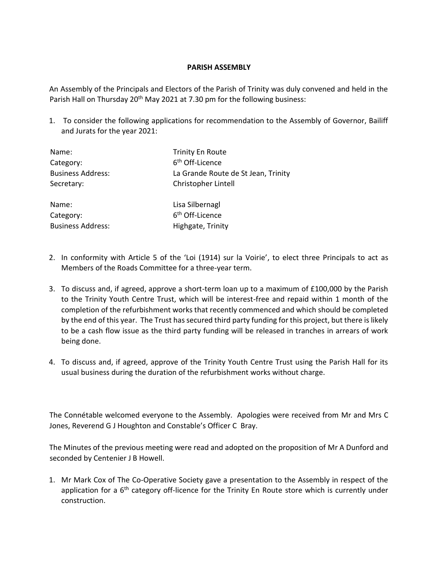## **PARISH ASSEMBLY**

An Assembly of the Principals and Electors of the Parish of Trinity was duly convened and held in the Parish Hall on Thursday 20<sup>th</sup> May 2021 at 7.30 pm for the following business:

1. To consider the following applications for recommendation to the Assembly of Governor, Bailiff and Jurats for the year 2021:

| Name:                    | <b>Trinity En Route</b>             |
|--------------------------|-------------------------------------|
| Category:                | 6 <sup>th</sup> Off-Licence         |
| <b>Business Address:</b> | La Grande Route de St Jean, Trinity |
| Secretary:               | Christopher Lintell                 |
| Name:                    | Lisa Silbernagl                     |
| Category:                | 6 <sup>th</sup> Off-Licence         |
| <b>Business Address:</b> | Highgate, Trinity                   |

- 2. In conformity with Article 5 of the 'Loi (1914) sur la Voirie', to elect three Principals to act as Members of the Roads Committee for a three-year term.
- 3. To discuss and, if agreed, approve a short-term loan up to a maximum of £100,000 by the Parish to the Trinity Youth Centre Trust, which will be interest-free and repaid within 1 month of the completion of the refurbishment works that recently commenced and which should be completed by the end of this year. The Trust has secured third party funding for this project, but there is likely to be a cash flow issue as the third party funding will be released in tranches in arrears of work being done.
- 4. To discuss and, if agreed, approve of the Trinity Youth Centre Trust using the Parish Hall for its usual business during the duration of the refurbishment works without charge.

The Connétable welcomed everyone to the Assembly. Apologies were received from Mr and Mrs C Jones, Reverend G J Houghton and Constable's Officer C Bray.

The Minutes of the previous meeting were read and adopted on the proposition of Mr A Dunford and seconded by Centenier J B Howell.

1. Mr Mark Cox of The Co-Operative Society gave a presentation to the Assembly in respect of the application for a  $6<sup>th</sup>$  category off-licence for the Trinity En Route store which is currently under construction.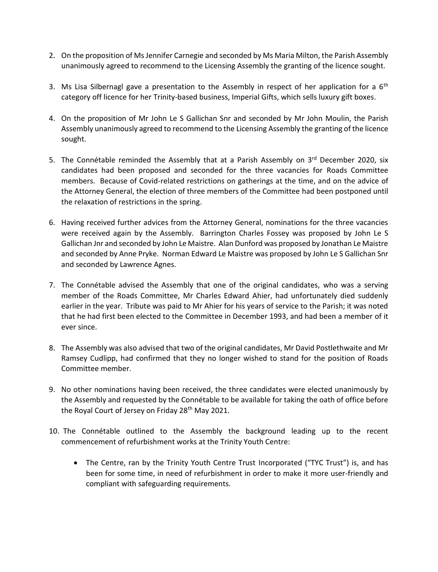- 2. On the proposition of Ms Jennifer Carnegie and seconded by Ms Maria Milton, the Parish Assembly unanimously agreed to recommend to the Licensing Assembly the granting of the licence sought.
- 3. Ms Lisa Silbernagl gave a presentation to the Assembly in respect of her application for a  $6<sup>th</sup>$ category off licence for her Trinity-based business, Imperial Gifts, which sells luxury gift boxes.
- 4. On the proposition of Mr John Le S Gallichan Snr and seconded by Mr John Moulin, the Parish Assembly unanimously agreed to recommend to the Licensing Assembly the granting of the licence sought.
- 5. The Connétable reminded the Assembly that at a Parish Assembly on 3rd December 2020, six candidates had been proposed and seconded for the three vacancies for Roads Committee members. Because of Covid-related restrictions on gatherings at the time, and on the advice of the Attorney General, the election of three members of the Committee had been postponed until the relaxation of restrictions in the spring.
- 6. Having received further advices from the Attorney General, nominations for the three vacancies were received again by the Assembly. Barrington Charles Fossey was proposed by John Le S Gallichan Jnr and seconded by John Le Maistre. Alan Dunford was proposed by Jonathan Le Maistre and seconded by Anne Pryke. Norman Edward Le Maistre was proposed by John Le S Gallichan Snr and seconded by Lawrence Agnes.
- 7. The Connétable advised the Assembly that one of the original candidates, who was a serving member of the Roads Committee, Mr Charles Edward Ahier, had unfortunately died suddenly earlier in the year. Tribute was paid to Mr Ahier for his years of service to the Parish; it was noted that he had first been elected to the Committee in December 1993, and had been a member of it ever since.
- 8. The Assembly was also advised that two of the original candidates, Mr David Postlethwaite and Mr Ramsey Cudlipp, had confirmed that they no longer wished to stand for the position of Roads Committee member.
- 9. No other nominations having been received, the three candidates were elected unanimously by the Assembly and requested by the Connétable to be available for taking the oath of office before the Royal Court of Jersey on Friday 28<sup>th</sup> May 2021.
- 10. The Connétable outlined to the Assembly the background leading up to the recent commencement of refurbishment works at the Trinity Youth Centre:
	- The Centre, ran by the Trinity Youth Centre Trust Incorporated ("TYC Trust") is, and has been for some time, in need of refurbishment in order to make it more user-friendly and compliant with safeguarding requirements.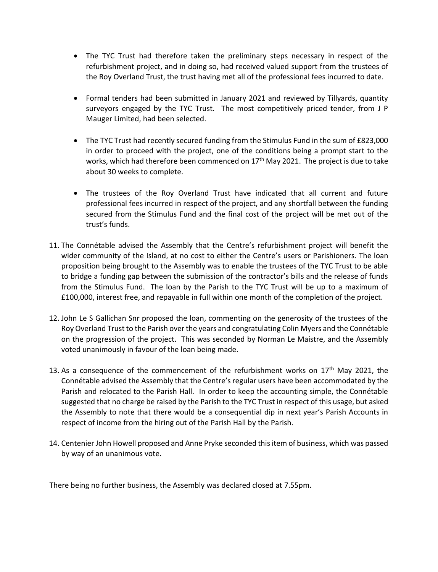- The TYC Trust had therefore taken the preliminary steps necessary in respect of the refurbishment project, and in doing so, had received valued support from the trustees of the Roy Overland Trust, the trust having met all of the professional fees incurred to date.
- Formal tenders had been submitted in January 2021 and reviewed by Tillyards, quantity surveyors engaged by the TYC Trust. The most competitively priced tender, from J P Mauger Limited, had been selected.
- The TYC Trust had recently secured funding from the Stimulus Fund in the sum of £823,000 in order to proceed with the project, one of the conditions being a prompt start to the works, which had therefore been commenced on  $17<sup>th</sup>$  May 2021. The project is due to take about 30 weeks to complete.
- The trustees of the Roy Overland Trust have indicated that all current and future professional fees incurred in respect of the project, and any shortfall between the funding secured from the Stimulus Fund and the final cost of the project will be met out of the trust's funds.
- 11. The Connétable advised the Assembly that the Centre's refurbishment project will benefit the wider community of the Island, at no cost to either the Centre's users or Parishioners. The loan proposition being brought to the Assembly was to enable the trustees of the TYC Trust to be able to bridge a funding gap between the submission of the contractor's bills and the release of funds from the Stimulus Fund. The loan by the Parish to the TYC Trust will be up to a maximum of £100,000, interest free, and repayable in full within one month of the completion of the project.
- 12. John Le S Gallichan Snr proposed the loan, commenting on the generosity of the trustees of the Roy Overland Trust to the Parish over the years and congratulating Colin Myers and the Connétable on the progression of the project. This was seconded by Norman Le Maistre, and the Assembly voted unanimously in favour of the loan being made.
- 13. As a consequence of the commencement of the refurbishment works on  $17<sup>th</sup>$  May 2021, the Connétable advised the Assembly that the Centre's regular users have been accommodated by the Parish and relocated to the Parish Hall. In order to keep the accounting simple, the Connétable suggested that no charge be raised by the Parish to the TYC Trust in respect of this usage, but asked the Assembly to note that there would be a consequential dip in next year's Parish Accounts in respect of income from the hiring out of the Parish Hall by the Parish.
- 14. Centenier John Howell proposed and Anne Pryke seconded this item of business, which was passed by way of an unanimous vote.

There being no further business, the Assembly was declared closed at 7.55pm.